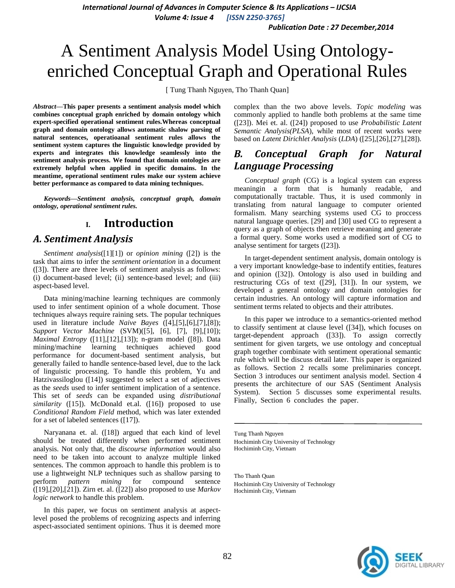*International Journal of Advances in Computer Science & Its Applications – IJCSIA*

*Volume 4: Issue 4 [ISSN 2250-3765]*

*Publication Date : 27 December,2014*

# A Sentiment Analysis Model Using Ontologyenriched Conceptual Graph and Operational Rules

[ Tung Thanh Nguyen, Tho Thanh Quan]

*Abstract***—This paper presents a sentiment analysis model which combines conceptual graph enriched by domain ontology which expert-specified operational sentiment rules.Whereas conceptual graph and domain ontology allows automatic shalow parsing of natural sentences, operatioanal sentiment rules allows the sentiment system captures the linguistic knowledge provided by experts and integrates this knowledge seamlessly into the sentiment analysis process. We found that domain ontologies are extremely helpful when applied in specific domains. In the meantime, operational sentiment rules make our system achieve better performance as compared to data mining techniques.**

*Keywords—Sentiment analysis, conceptual graph, domain ontology, operational sentiment rules.*

# **I. Introduction**

### *A. Sentiment Analysis*

*Sentiment analysis*[\(\[1\]\[1\]\)](#page-4-0) or *opinion mining* [\(\[2\]\)](#page-4-1) is the task that aims to infer the *sentiment orientation* in a document [\(\[3\]\)](#page-4-2). There are three levels of sentiment analysis as follows: (i) document-based level; (ii) sentence-based level; and (iii) aspect-based level.

Data mining/machine learning techniques are commonly used to infer sentiment opinion of a whole document. Those techniques always require raining sets. The popular techniques used in literature include *Naive Bayes* [\(\[4\]](#page-4-3)[,\[5\],](#page-4-4)[\[6\],](#page-4-5)[\[7\]](#page-4-6)[,\[8\]\)](#page-4-7); *Support Vector Machine* (SVM)[\(\[5\],](#page-4-4) [\[6\],](#page-4-5) [\[7\],](#page-4-6) [\[9\]](#page-4-8)[,\[10\]\)](#page-4-9); *Maximal Entropy* [\(\[11\],](#page-4-10)[\[12\],](#page-4-11)[\[13\]\)](#page-4-12); n-gram model [\(\[8\]\)](#page-4-7). Data mining/machine learning techniques achieved good performance for document-based sentiment analysis, but generally failed to handle sentence-based level, due to the lack of linguistic processing. To handle this problem, Yu and Hatzivassiloglou [\(\[14\]\)](#page-4-13) suggested to select a set of adjectives as the *seeds* used to infer sentiment implication of a sentence. This set of *seeds* can be expanded using *distributional similarity* [\(\[15\]\)](#page-4-14). McDonald et.al. [\(\[16\]\)](#page-4-15) proposed to use *Conditional Random Field* method, which was later extended for a set of labeled sentences [\(\[17\]\)](#page-4-16).

Naryanana et. al. [\(\[18\]\)](#page-4-17) argued that each kind of level should be treated differently when performed sentiment analysis. Not only that, the *discourse information* would also need to be taken into account to analyze multiple linked sentences. The common approach to handle this problem is to use a lightweight NLP techniques such as shallow parsing to perform *pattern mining* for compound sentence [\(\[19\],](#page-4-18)[\[20\]](#page-4-19)[,\[21\]\)](#page-4-20). Zirn et. al. [\(\[22\]\)](#page-4-21) also proposed to use *Markov logic network* to handle this problem.

In this paper, we focus on sentiment analysis at aspectlevel posed the problems of recognizing aspects and inferring aspect-associated sentiment opinions. Thus it is deemed more complex than the two above levels. *Topic modeling* was commonly applied to handle both problems at the same time [\(\[23\]\)](#page-4-22). Mei et. al. [\(\[24\]\)](#page-4-23) proposed to use *Probabilistic Latent Semantic Analysis(PLSA*), while most of recent works were based on *Latent Dirichlet Analysis* (*LDA*) [\(\[25\]](#page-4-24)[,\[26\]](#page-4-25)[,\[27\]](#page-4-26)[,\[28\]\)](#page-4-27).

# *B. Conceptual Graph for Natural Language Processing*

*Conceptual graph* (CG) is a logical system can express meaningin a form that is humanly readable, and computationally tractable. Thus, it is used commonly in translating from natural language to computer oriented formalism. Many searching systems used CG to proccess natural language queries. [\[29\]](#page-4-28) and [\[30\]](#page-4-29) used CG to represent a query as a graph of objects then retrieve meaning and generate a formal query. Some works used a modified sort of CG to analyse sentiment for targets [\(\[23\]\)](#page-4-22).

In target-dependent sentiment analysis, domain ontology is a very important knowledge-base to indentify entities, features and opinion [\(\[32\]\)](#page-4-30). Ontology is also used in building and restructuring CGs of text [\(\[29\],](#page-4-28) [\[31\]\)](#page-4-31). In our system, we developed a general ontology and domain ontologies for certain industries. An ontology will capture information and sentiment terms related to objects and their attributes.

In this paper we introduce to a semantics-oriented method to classify sentiment at clause level [\(\[34\]\)](#page-4-32), which focuses on target-dependent approach [\(\[33\]\)](#page-4-33). To assign correctly sentiment for given targets, we use ontology and conceptual graph together combinate with sentiment operational semantic rule which will be discuss detail later. This paper is organized as follows. Section 2 recalls some preliminaries concept. Section 3 introduces our sentiment analysis model. Section 4 presents the architecture of our SAS (Sentiment Analysis System). Section 5 discusses some experimental results. Finally, Section 6 concludes the paper.

Tung Thanh Nguyen Hochiminh City University of Technology Hochiminh City, Vietnam

Tho Thanh Quan Hochiminh City University of Technology Hochiminh City, Vietnam

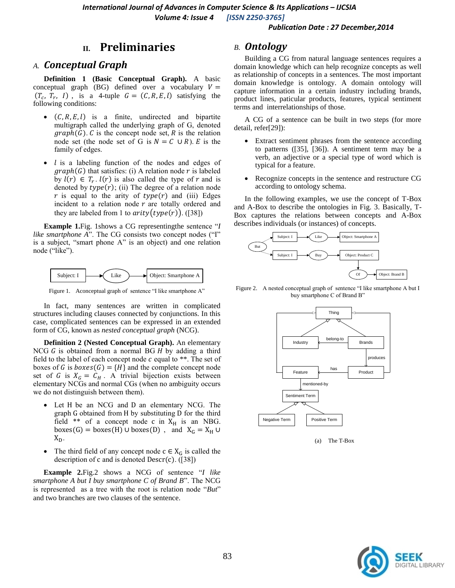#### *Publication Date : 27 December,2014*

### **II. Preliminaries**

### *A. Conceptual Graph*

**Definition 1 (Basic Conceptual Graph).** A basic conceptual graph (BG) defined over a vocabulary  $V =$  $(T_c, T_r, I)$ , is a 4-tuple  $G = (C, R, E, I)$  satisfying the following conditions:

- $\bullet$   $(C, R, E, l)$  is a finite, undirected and bipartite multigraph called the underlying graph of G, denoted  $graph(G)$ . C is the concept node set, R is the relation node set (the node set of G is  $N = C \cup R$ ). E is the family of edges.
- $l$  is a labeling function of the nodes and edges of  $graph(G)$  that satisfies: (i) A relation node r is labeled by  $l(r) \in T_r$ .  $l(r)$  is also called the type of r and is denoted by  $type(r)$ ; (ii) The degree of a relation node r is equal to the arity of  $type(r)$  and (iii) Edges incident to a relation node  $r$  are totally ordered and they are labeled from 1 to  $arity(type(r))$ . [\(\[38\]\)](#page-4-34)

**Example 1.**Fig. 1shows a CG representingthe sentence "*I like smartphone A*". The CG consists two concept nodes ("I" is a subject, "smart phone A" is an object) and one relation node ("like").



Figure 1. Aconceptual graph of sentence "I like smartphone A"

In fact, many sentences are written in complicated structures including clauses connected by conjunctions. In this case, complicated sentences can be expressed in an extended form of CG, known as *nested conceptual graph* (NCG).

**Definition 2 (Nested Conceptual Graph).** An elementary NCG  $G$  is obtained from a normal BG  $H$  by adding a third field to the label of each concept node  $c$  equal to  $**$ . The set of boxes of G is  $boxes(G) = \{H\}$  and the complete concept node set of G is  $X_G = C_H$ . A trivial bijection exists between elementary NCGs and normal CGs (when no ambiguity occurs we do not distinguish between them).

- Let H be an NCG and D an elementary NCG. The graph G obtained from H by substituting D for the third field \*\* of a concept node c in  $X_H$  is an NBG. boxes(G) = boxes(H)  $\cup$  boxes(D), and  $X_G = X_H \cup$  $X_D$ .
- The third field of any concept node  $c \in X_G$  is called the description of c and is denoted  $\text{Descri}( c)$ . [\(\[38\]\)](#page-4-34)

**Example 2.**Fig.2 shows a NCG of sentence "*I like smartphone A but I buy smartphone C of Brand B*". The NCG is represented as a tree with the root is relation node "*But*" and two branches are two clauses of the sentence.

#### *B. Ontology*

Building a CG from natural language sentences requires a domain knowledge which can help recognize concepts as well as relationship of concepts in a sentences. The most important domain knowledge is ontology. A domain ontology will capture information in a certain industry including brands, product lines, paticular products, features, typical sentiment terms and interrelationships of those.

A CG of a sentence can be built in two steps (for more detail, refe[r\[29\]\)](#page-4-28):

- Extract sentiment phrases from the sentence according to patterns [\(\[35\],](#page-4-35) [\[36\]\)](#page-4-36). A sentiment term may be a verb, an adjective or a special type of word which is typical for a feature.
- Recognize concepts in the sentence and restructure CG according to ontology schema.

In the following examples, we use the concept of T-Box and A-Box to describe the ontologies in Fig. 3. Basically, T-Box captures the relations between concepts and A-Box describes individuals (or instances) of concepts.



Figure 2. A nested conceptual graph of sentence "I like smartphone A but I buy smartphone C of Brand B"



(a) The T-Box

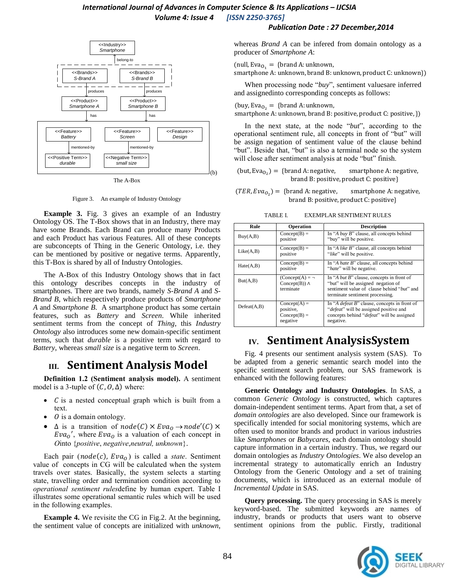### *International Journal of Advances in Computer Science & Its Applications – IJCSIA Volume 4: Issue 4 [ISSN 2250-3765]*

#### *Publication Date : 27 December,2014*



The A-Box

Figure 3. An example of Industry Ontology

**Example 3.** Fig. 3 gives an example of an Industry Ontology OS. The T-Box shows that in an Industry, there may have some Brands. Each Brand can produce many Products and each Product has various Features. All of these concepts are subconcepts of Thing in the Generic Ontology, i.e. they can be mentioned by positive or negative terms. Apparently, this T-Box is shared by all of Industry Ontologies.

The A-Box of this Industry Ontology shows that in fact this ontology describes concepts in the industry of smartphones. There are two brands, namely *S-Brand A* and *S-Brand B*, which respectively produce products of *Smartphone A* and *Smartphone B*. A smartphone product has some certain features, such as *Battery* and *Screen*. While inherited sentiment terms from the concept of *Thing*, this *Industry Ontology* also introduces some new domain-specific sentiment terms, such that *durable* is a positive term with regard to *Battery*, whereas *small size* is a negative term to *Screen*.

# **III. Sentiment Analysis Model**

**Definition 1.2 (Sentiment analysis model).** A sentiment model is a 3-tuple of  $(C, 0, \Delta)$  where:

- $\bullet$  *C* is a nested conceptual graph which is built from a text.
- $\theta$  is a domain ontology.
- $\Delta$  is a transition of  $node(C) \times Eva_0 \rightarrow node'(C) \times$  $Eva<sub>o</sub>'$ , where  $Eva<sub>o</sub>$  is a valuation of each concept in *O*into {*positive*, *negative*,*neutral, unknown*}.

Each pair ( $node(c)$ ,  $Eva<sub>o</sub>$ ) is called a *state*. Sentiment value of concepts in CG will be calculated when the system travels over states. Basically, the system selects a starting state, travelling order and termination condition according to *operational sentiment rules*define by human expert. Table I illustrates some operational semantic rules which will be used in the following examples.

**Example 4.** We revisite the CG in Fig.2. At the beginning, the sentiment value of concepts are initialized with *unknown*, whereas *Brand A* can be infered from domain ontology as a producer of *Smartphone A*:

(null,  $Eva_{0_1}$  = {brand A: unknown,

smartphone A: unknown, brand B: unknown, product C: unknown})

When processing node "*buy*", sentiment valuesare inferred and assignedinto corresponding concepts as follows:

(buy, Eva<sub>O<sub>2</sub></sub> = {brand A: unknown,

smartphone A: unknown, brand B: positive, product C: positive, })

In the next state, at the node "*but*", according to the operational sentiment rule, all concepts in front of "but" will be assign negation of sentiment value of the clause behind "but". Beside that, "but" is also a terminal node so the system will close after sentiment analysis at node "but" finish.

smartphone A: negative, (but, Eva<sub>02</sub>) = {b} brand B: positive, product C: positive}

smartphone A: negative,  $(TER, Eva_{O_2}) = \{b$ brand B: positive, product C: positive}

TABLE I. EXEMPLAR SENTIMENT RULES

| Rule         | Operation                                                 | <b>Description</b>                                                                                                                                               |
|--------------|-----------------------------------------------------------|------------------------------------------------------------------------------------------------------------------------------------------------------------------|
| Buy(A,B)     | $Concept(B) =$<br>positive                                | In "A buy B" clause, all concepts behind<br>"buy" will be positive.                                                                                              |
| Like(A,B)    | $Concept(B) =$<br>positive                                | In "A like B" clause, all concepts behind<br>" <i>like</i> " will be positive.                                                                                   |
| Hate(A,B)    | $Concept(B) =$<br>positive                                | In "A hate B" clause, all concepts behind<br>" <i>hate</i> " will be negative.                                                                                   |
| But(A,B)     | $(Concept(A) = \neg$<br>Concept(B)) $\wedge$<br>terminate | In "A but B" clause, concepts in front of<br>"but" will be assigned negation of<br>sentiment value of clause behind "but" and<br>terminate sentiment processing. |
| Defeat(A, B) | $Concept(A) =$<br>positive,<br>$Concept(B) =$<br>negative | In "A <i>defeat B</i> " clause, concepts in front of<br>"defeat" will be assigned positive and<br>concepts behind "defeat" will be assigned<br>negative.         |

# **IV. Sentiment AnalysisSystem**

Fig. 4 presents our sentiment analysis system (SAS). To be adapted from a generic semantic search model into the specific sentiment search problem, our SAS framework is enhanced with the following features:

**Generic Ontology and Industry Ontologies**. In SAS, a common *Generic Ontology* is constructed, which captures domain-independent sentiment terms. Apart from that, a set of *domain ontologies* are also developed. Since our framework is specifically intended for social monitoring systems, which are often used to monitor brands and product in various industries like *Smartphones* or *Babycares*, each domain ontology should capture information in a certain industry. Thus, we regard our domain ontologies as *Industry Ontologies*. We also develop an incremental strategy to automatically enrich an Industry Ontology from the Generic Ontology and a set of training documents, which is introduced as an external module of *Incremental Update* in SAS.

**Query processing.** The query processing in SAS is merely keyword-based. The submitted keywords are names of industry, brands or products that users want to observe sentiment opinions from the public. Firstly, traditional

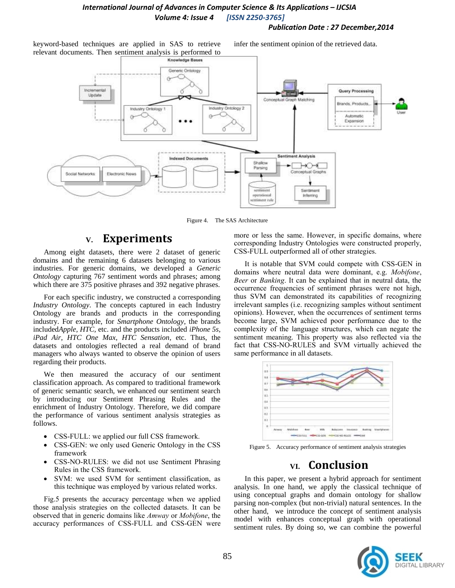### *International Journal of Advances in Computer Science & Its Applications – IJCSIA Volume 4: Issue 4 [ISSN 2250-3765]*

#### *Publication Date : 27 December,2014*

keyword-based techniques are applied in SAS to retrieve relevant documents. Then sentiment analysis is performed to infer the sentiment opinion of the retrieved data.



Figure 4. The SAS Architecture

### **V. Experiments**

Among eight datasets, there were 2 dataset of generic domains and the remaining 6 datasets belonging to various industries. For generic domains, we developed a *Generic Ontology* capturing 767 sentiment words and phrases; among which there are 375 positive phrases and 392 negative phrases.

For each specific industry, we constructed a corresponding *Industry Ontology*. The concepts captured in each Industry Ontology are brands and products in the corresponding industry. For example, for *Smartphone Ontology*, the brands included*Apple, HTC,* etc. and the products included *iPhone 5s*, *iPad Air*, *HTC One Max*, *HTC Sensation*, etc. Thus, the datasets and ontologies reflected a real demand of brand managers who always wanted to observe the opinion of users regarding their products.

We then measured the accuracy of our sentiment classification approach. As compared to traditional framework of generic semantic search, we enhanced our sentiment search by introducing our Sentiment Phrasing Rules and the enrichment of Industry Ontology. Therefore, we did compare the performance of various sentiment analysis strategies as follows.

- CSS-FULL: we applied our full CSS framework.
- CSS-GEN: we only used Generic Ontology in the CSS framework
- CSS-NO-RULES: we did not use Sentiment Phrasing Rules in the CSS framework.
- SVM: we used SVM for sentiment classification, as this technique was employed by various related works.

Fig.5 presents the accuracy percentage when we applied those analysis strategies on the collected datasets. It can be observed that in generic domains like *Amway* or *Mobifone*, the accuracy performances of CSS-FULL and CSS-GEN were more or less the same. However, in specific domains, where corresponding Industry Ontologies were constructed properly, CSS-FULL outperformed all of other strategies.

It is notable that SVM could compete with CSS-GEN in domains where neutral data were dominant, e.g. *Mobifone*, *Beer* or *Banking*. It can be explained that in neutral data, the occurrence frequencies of sentiment phrases were not high, thus SVM can demonstrated its capabilities of recognizing irrelevant samples (i.e. recognizing samples without sentiment opinions). However, when the occurrences of sentiment terms become large, SVM achieved poor performance due to the complexity of the language structures, which can negate the sentiment meaning. This property was also reflected via the fact that CSS-NO-RULES and SVM virtually achieved the same performance in all datasets.



Figure 5. Accuracy performance of sentiment analysis strategies

# **VI. Conclusion**

In this paper, we present a hybrid approach for sentiment analysis. In one hand, we apply the classical technique of using conceptual graphs and domain ontology for shallow parsing non-complex (but non-trivial) natural sentences. In the other hand, we introduce the concept of sentiment analysis model with enhances conceptual graph with operational sentiment rules. By doing so, we can combine the powerful